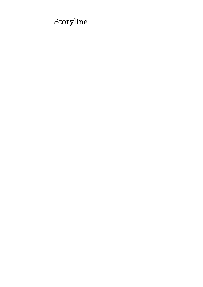# Storyline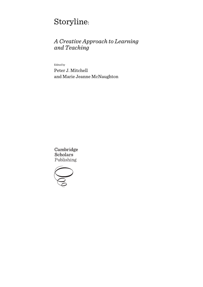# Storyline:

# *A Creative Approach to Learning and Teaching*

Edited by

Peter J. Mitchell and Marie Jeanne McNaughton

Cambridge **Scholars** Publishing

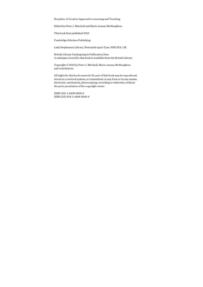Storyline: A Creative Approach to Learning and Teaching

Edited by Peter J. Mitchell and Marie Jeanne McNaughton

This book first published 2016

Cambridge Scholars Publishing

Lady Stephenson Library, Newcastle upon Tyne, NE6 2PA, UK

British Library Cataloguing in Publication Data A catalogue record for this book is available from the British Library

Copyright © 2016 by Peter J. Mitchell, Marie Jeanne McNaughton and contributors

All rights for this book reserved. No part of this book may be reproduced, stored in a retrieval system, or transmitted, in any form or by any means, electronic, mechanical, photocopying, recording or otherwise, without the prior permission of the copyright owner.

ISBN (10): 1-4438-9035-9 ISBN (13): 978-1-4438-9035-9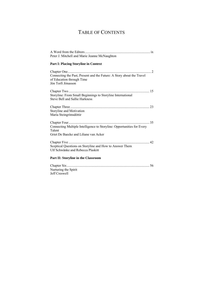# TABLE OF CONTENTS

| Peter J. Mitchell and Marie Jeanne McNaughton                                                                             |
|---------------------------------------------------------------------------------------------------------------------------|
| <b>Part I: Placing Storyline in Context</b>                                                                               |
| Connecting the Past, Present and the Future: A Story about the Travel<br>of Education through Time<br>Jón Torfi Jónasson  |
| Storyline: From Small Beginnings to Storyline International<br><b>Steve Bell and Sallie Harkness</b>                      |
| Storyline and Motivation<br>María Steingrímsdóttir                                                                        |
| Connecting Multiple Intelligence to Storyline: Opportunities for Every<br>Talent<br>Griet De Baecke and Liliane van Acker |
| Sceptical Questions on Storyline and How to Answer Them<br>Ulf Schwänke and Rebecca Plaskitt                              |
| Part II: Storyline in the Classroom                                                                                       |
| Nurturing the Spirit<br>Jeff Creswell                                                                                     |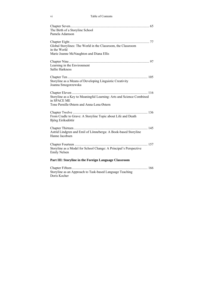#### vi Table of Contents

| The Birth of a Storyline School<br>Pamela Adamson                                                                                |
|----------------------------------------------------------------------------------------------------------------------------------|
| Global Storylines: The World in the Classroom, the Classroom<br>in the World                                                     |
| Marie Jeanne McNaughton and Diana Ellis<br>Learning in the Environment<br>Sallie Harkness                                        |
| Storyline as a Means of Developing Linguistic Creativity<br>Joanna Smogorzewska                                                  |
| Storyline as a Key to Meaningful Learning: Arts and Science Combined<br>in SPACE ME<br>Tone Pernille Østern and Anna-Lena Østern |
| From Cradle to Grave: A Storyline Topic about Life and Death<br>Björg Eiríksdóttir                                               |
| Astrid Lindgren and Emil of Lönneberga: A Book-based Storyline<br>Hanne Jacobsen                                                 |
| Storyline as a Model for School Change: A Principal's Perspective<br><b>Emily Nelsen</b>                                         |
| Part III: Storyline in the Foreign Language Classroom                                                                            |
| Storyline as an Approach to Task-based Language Teaching<br>Doris Kocher                                                         |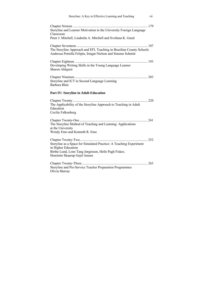| Storyline: A Key to Effective Learning and Teaching<br>vii                                                                                                                          |
|-------------------------------------------------------------------------------------------------------------------------------------------------------------------------------------|
| . 179<br>Storyline and Learner Motivation in the University Foreign Language<br>Classroom<br>Peter J. Mitchell, Liudmila A. Mitchell and Svetlana K. Gural                          |
| The Storyline Approach and EFL Teaching in Brazilian County Schools<br>Andressa Portella Felipin, Irmgat Nielsen and Simone Schmitt                                                 |
| Developing Writing Skills in the Young Language Learner<br><b>Sharon Ahlquist</b>                                                                                                   |
| Storyline and ICT in Second Language Learning<br>Barbara Blair                                                                                                                      |
| Part IV: Storyline in Adult Education                                                                                                                                               |
| The Applicability of the Storyline Approach to Teaching in Adult<br>Education<br>Cecilie Falkenberg                                                                                 |
| The Storyline Method of Teaching and Learning: Applications<br>at the University<br>Wendy Emo and Kenneth R. Emo                                                                    |
| Storyline as a Space for Simulated Practice: A Teaching Experiment<br>in Higher Education<br>Birthe Lund, Lone Tang Jørgensen, Helle Pagh Fisker,<br>Henriette Skaarup Gejel Jensen |
| Storyline and Pre-Service Teacher Preparation Programmes<br>Olivia Murray                                                                                                           |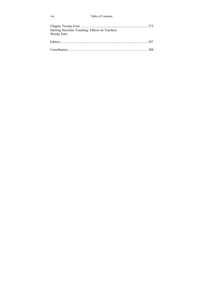| Starting Storyline Teaching: Effects on Teachers<br>Wendy Emo |  |
|---------------------------------------------------------------|--|
|                                                               |  |
|                                                               |  |

viii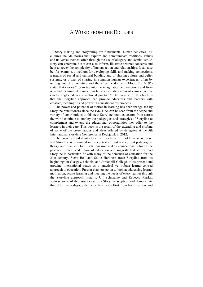## A WORD FROM THE EDITORS

Story making and storytelling are fundamental human activities. All cultures include stories that explore and communicate traditions, values and universal themes, often through the use of allegory and symbolism. A story can entertain, but it can also inform, illustrate abstract concepts and help to covey the complexity of human action and relationships. It can also be, for example, a medium for developing skills and making connections, a means of social and cultural bonding and of sharing culture and belief systems, or a way of sharing in common human experiences, often by uniting both the cognitive and the affective domains. Moon (2010: 96) states that stories "…can tap into the imagination and emotions and form new and meaningful connections between existing areas of knowledge that can be neglected in conventional practice." The premise of this book is that the Storyline approach can provide educators and learners with creative, meaningful and powerful educational experiences.

The power and potential of stories in learning has been recognised by Storyline practitioners since the 1960s. As can be seen from the scope and variety of contributions to this new Storyline book, educators from across the world continue to employ the pedagogies and strategies of Storyline to complement and extend the educational opportunities they offer to the learners in their care. This book is the result of the extending and crafting of some of the presentations and ideas offered by delegates at the 5th International Storyline Conference in Reykjavik in 2012.

The book is divided into four main sections. In Part I the scene is set and Storyline is examined in the context of past and current pedagogical theory and practice. Jón Torfi Jónasson makes connections between the past and present and future of education and suggests that stories, and Storyline in particular, fit with many of the demands of education for the 21st century. Steve Bell and Sallie Harkness trace Storyline from its beginnings in Glasgow schools, and Jordanhill College, to its present and growing international status as a practical yet robust learner-centred approach to education. Further chapters go on to look at addressing learner motivation, active learning and meeting the needs of every learner through the Storyline approach. Finally, Ulf Schwanke and Rebecca Plaskitt address some of the issues raised by Storyline sceptics, and demonstrate that effective pedagogy demands time and effort from both learners and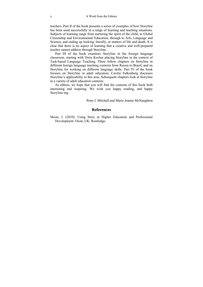teachers. Part II of the book presents a series of examples of how Storyline has been used successfully in a range of learning and teaching situations. Subjects of learning range from nurturing the spirit of the child, to Global Citizenship and Environmental Education, through to Arts, Language and Science, and ending up looking, literally, at matters of life and death. It is clear that there is no aspect of learning that a creative and well-prepared teacher cannot address through Storyline.

Part III of the book examines Storyline in the foreign language classroom, starting with Doris Kocher placing Storyline in the context of Task-based Language Teaching. There follow chapters on Storyline in different foreign language teaching contexts from Russia to Brazil, and on Storyline for working on different language skills. Part IV of the book focuses on Storyline in adult education. Cecilie Falkenberg discusses Storyline's applicability to this area. Subsequent chapters look at Storyline in a variety of adult education contexts.

As editors, we hope that you will find the contents of this book both interesting and inspiring. We wish you happy reading, and happy Storyline-ing.

Peter J. Mitchell and Marie Jeanne McNaughton

#### **References**

Moon, J. (2010). Using Story in Higher Education and Professional Development. Oxon, UK: Routledge.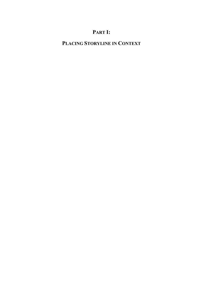# **PART I:**

# **PLACING STORYLINE IN CONTEXT**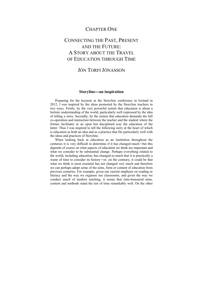### CHAPTER ONE

# CONNECTING THE PAST, PRESENT AND THE FUTURE: A STORY ABOUT THE TRAVEL OF EDUCATION THROUGH TIME

### JÓN TORFI JÓNASSON

#### **Storyline**—**an inspiration**

Preparing for the keynote at the Storyline conference in Iceland in 2012, I was inspired by the ideas promoted by the Storyline teachers in two ways. Firstly, by the very powerful notion that education is about a holistic understanding of the world, particularly well expressed by the idea of telling a story. Secondly, by the notion that education demands the full co-operation and interaction between the teacher and the student where the former facilitates in an open but disciplined way the education of the latter. Thus I was inspired to tell the following story at the heart of which is education as both an idea and as a practice that fits particularly well with the ideas and practices of Storyline.

When looking back at education as an institution throughout the centuries it is very difficult to determine if it has changed much—but this depends of course on what aspects of education we think are important and what we consider to be substantial change. Perhaps everything related to the world, including education, has changed so much that it is practically a waste of time to consider its history—or, on the contrary, it could be that what we think is most essential has not changed very much and therefore we can perhaps adopt some of the aims, form or content of education from previous centuries. For example, given our current emphasis on reading or literacy and the way we organise our classrooms, and given the way we conduct much of modern teaching, it seems that time-honoured aims, content and methods stand the test of time remarkably well. On the other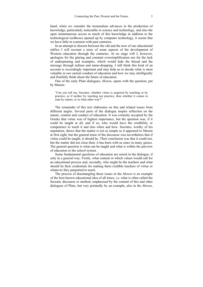hand, when we consider the tremendous advances in the production of knowledge, particularly noticeable in science and technology, and also the open instantaneous access to much of this knowledge in addition to the technological toolboxes opened up by computer technology, it seems that we have little in common with past centuries.

In an attempt to discern between the old and the new of our educational edifice I will recount a story of some aspects of the development of Western education through the centuries. At no stage will I, however, apologise for the glaring and constant oversimplification nor for the lack of underpinning and examples, which would hide the thread and the message through tedium and name-dropping. I still think this kind of an account is exceedingly important and may help us to decide what is most valuable in our current conduct of education and how we may intelligently and fruitfully think about the future of education.

One of the early Plato dialogues, *Menon*, opens with the question, put by Menon:

"Can you tell me, Socrates, whether virtue is acquired by teaching or by practice; or if neither by teaching nor practice, then whether it comes to man by nature, or in what other way?"

The remainder of this text elaborates on this and related issues from different angles. Several parts of the dialogue inspire reflection on the nature, content and conduct of education. It was certainly accepted by the Greeks that virtue was of highest importance, but the question was, if it could be taught at all, and if so, who would have the credibility or competence to teach it and also when and how. Socrates, worthy of his reputation, shows that the matter is not as simple as it appeared to Menon at first sight, but the general tenor of the discourse was nevertheless that if virtue could be taught, it should be. Their conclusion was that it could not, but the matter did not close then: it has been with us since in many guises. The general question is what can be taught and what is within the purview of education or the school system.

Some fundamental questions of education are raised in the dialogue, if only in a general way. Firstly, what content or which values would call for an educational process and, secondly, who might be the teachers and what should be their credentials for making them credible teachers of virtue or whatever they purported to teach.

The process of disentangling these issues in the *Menon* is an example of the best known educational idea of all times, i.e. what is often called the Socratic discourse or method, emphasised by the content of this and other dialogues of Plato, but very pointedly by an example, also in the *Menon*,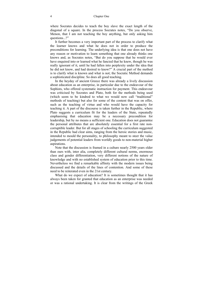where Socrates decides to teach the boy slave the exact length of the diagonal of a square. In the process Socrates notes, "Do you observe, Menon, that I am not teaching the boy anything, but only asking him questions...?"

It further becomes a very important part of the process to clarify what the learner knows and what he does not in order to produce the preconditions for learning. The underlying idea is that one does not have any reason or motivation to learn something that one already thinks one knows and, as Socrates notes, "But do you suppose that he would ever have enquired into or learned what he fancied that he knew, though he was really ignorant of it, until he had fallen into perplexity under the idea that he did not know, and had desired to know?" A crucial part of the method is to clarify what is known and what is not; the Socratic Method demands a sophisticated discipline. So does all good teaching.

In the heyday of ancient Greece there was already a lively discussion about education as an enterprise, in particular due to the endeavour of the Sophists, who offered systematic instruction for payment. This endeavour was criticised by Socrates and Plato, both for the methods being used (which seem to be kindred to what we would now call "traditional" methods of teaching) but also for some of the content that was on offer, such as the teaching of virtue and who would have the capacity for teaching it. A part of the discourse is taken further in the Republic, where Plato suggests a curriculum fit for the leaders of the State, repeatedly emphasising that education may be a necessary precondition for leadership, but by no means a sufficient one. Education does not guarantee the personal attributes that are absolutely essential for a first rate noncorruptible leader. But for all stages of schooling the curriculum suggested in the Republic had clear aims, ranging from the heroic stories and music, intended to mould the personality, to philosophy meant to steer the value judgements of potential leaders from worldly goods to non-material higher aspirations.

Note that the discussion is framed in a culture nearly 2500 years older than ours with, inter alia, completely different cultural norms, enormous class and gender differentiation, very different notions of the nature of knowledge and with no established system of education prior to this time. Nevertheless we find a remarkable affinity with the modern issues being discussed and the details of the lines of contention. And some of these need to be reiterated even in the 21st century.

What do we expect of education? It is sometimes thought that it has always been taken for granted that education as an enterprise was needed or was a rational undertaking. It is clear from the writings of the Greek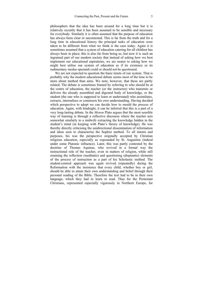philosophers that the idea has been around for a long time but it is relatively recently that it has been assumed to be sensible and necessary for everybody. Similarly it is often assumed that the purpose of education has always been clear or uncontested. This is far from the truth and for a long time in educational history the principal tasks of education were taken to be different from what we think is the case today. Again it is sometimes assumed that a system of education catering for all children has always been in place; this is also far from being so, but now it is such an ingrained part of our modern society that instead of asking how we best implement our educational aspirations, we are nearer to asking how we might best utilise our system of education as if its existence or its rudimentary modus operandi could or should not be questioned.

We are not expected to question the basic tenets of our system. That is probably why the modern educational debate seems most of the time to be more about method than aims. We note, however, that these are partly related. The debate is sometimes framed by referring to who should be at the centre of education, the teacher (or the instructor) who transmits or delivers the already assembled and digested body of knowledge, or the student (the one who is supposed to learn or understand) who assimilates, extracts, internalises or constructs his own understanding. Having decided which perspective to adopt we can decide how to mould the process of education. Again, with hindsight, it can be inferred that this is a part of a very long-lasting debate. In the *Menon* Plato argues that the most sensible way of learning is through a reflective discourse where the teacher acts somewhat similarly to a midwife extracting the knowledge hidden in the student's mind (in keeping with Plato's theory of knowledge). He was thereby directly criticising the unidirectional dissemination of information and ideas seen to characterise the Sophist method. To all intents and purposes, his was the perspective originally accepted by Christian religious education, especially as expounded by St. Augustine (indeed under some Platonic influence). Later, this was partly contested by the doctrine of Thomas Aquinas, who revived in a formal way the instructional role of the teacher, even in matters of religion, while still retaining the reflection (meditatio) and questioning (disputatio) elements of the process of instruction as a part of his Scholastic method. The student-centred approach was again revived (repeatedly) during the Reformation with the insistence that every child, whether boy or girl, should be able to attain their own understanding and belief through their personal reading of the Bible. Therefore the text had to be in their own language, which they had to learn to read. Thus for the Protestant Christians, represented especially vigorously in Northern Europe, for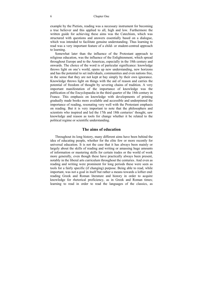example by the Pietists, reading was a necessary instrument for becoming a true believer and this applied to all, high and low. Furthermore the written guide for achieving these aims was the Catechism, which was structured with questions and answers essentially based on a dialogue, which was intended to facilitate genuine understanding. Thus learning to read was a very important feature of a child- or student-centred approach to learning.

Somewhat later than the influence of the Protestant approach to religious education, was the influence of the Enlightenment, which spread throughout Europe and to the Americas, especially in the 18th century and onwards. The choice of the word is of particular significance: knowledge throws light on one's world, opens up new understanding, new horizons and has the potential to set individuals, communities and even nations free, in the sense that they are not kept at bay simply by their own ignorance. Knowledge throws light on things with the aid of reason and carries the potential of freedom of thought by severing chains of tradition. A very important manifestation of the importance of knowledge was the publication of the Encyclopaedia in the third quarter of the 18th century in France. This emphasis on knowledge with developments of printing gradually made books more available and accessible and underpinned the importance of reading, resonating very well with the Protestant emphasis on reading. But it is very important to note that the philosophers and scientists who inspired and led the 17th and 18th centuries' thought, saw knowledge and reason as tools for change whether it be related to the political regime or scientific understanding.

#### **The aims of education**

Throughout its long history, many different aims have been behind the idea of educating people, whether for the elite few or more recently for universal education. It is not the case that it has always been mainly or largely about the skills of reading and writing or amassing huge amounts of information or mastering skills for certain trades or the world of work more generally, even though these have practically always been present, notably in the liberal arts curriculum throughout the centuries. And even as reading and writing were prominent for long periods these were seen as tools for a fairly specific (if changing) purpose. Being able to read, while important, was not a goal in itself but rather a means towards a loftier end: reading Greek and Roman literature and history in order to acquire knowledge for rhetorical proficiency, as in Greek and Roman times; learning to read in order to read the languages of the classics, as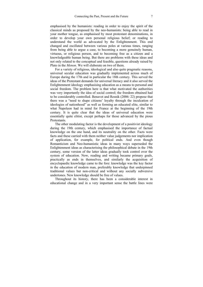emphasised by the humanists: reading in order to enjoy the spirit of the classical minds as proposed by the neo-humanists: being able to read in your mother tongue, as emphasised by most protestant denominations, in order to develop your own personal religious belief; or reading to understand the world as advocated by the Enlightenment. This end changed and oscillated between various poles at various times, ranging from being able to argue a case, to becoming a more genuinely human, virtuous, or religious person, and to becoming free as a citizen and a knowledgeable human being. But there are problems with these ideas and not only related to the conceptual and feasible, questions already raised by Plato in the *Menon*. We will elaborate on two of them.

For a variety of religious, ideological and also quite pragmatic reasons, universal secular education was gradually implemented across much of Europe during the 17th and in particular the 18th century. This served the ideas of the Protestant demands for universal literacy and it also served the Enlightenment ideology emphasising education as a means to personal and social freedom. The problem here is that what motivated the authorities was very importantly the idea of social control; the freedom obtained had to be considerably controlled. Benavot and Resnik (2006: 22) propose that there was a "need to shape citizens' loyalty through the inculcation of ideologies of nationhood" as well as forming an educated elite, similar to what Napoleon had in mind for France at the beginning of the 19th century. It is quite clear that the ideas of universal education were essentially quite elitist, except perhaps for those advanced by the pious Protestants.

The other modulating factor is the development of a positivist ideology during the 19th century, which emphasised the importance of factual knowledge on the one hand, and its neutrality on the other. Facts were facts and these carried with them neither value judgements nor implication of application, for example, for political ends. And even though Romanticism and Neo-humanistic ideas in many ways superseded the Enlightenment ideas as characterising the philosophical debate in the 19th century, some version of the latter ideas gradually took control over the system of education. Now, reading and writing became primary goals, practically as ends in themselves, and similarly the acquisition of encyclopaedic knowledge came to the fore: knowledge was the key factor in the education of modern man, preferably knowledge that underpinned traditional values but non-critical and without any socially subversive undertones. New knowledge should be free of values.

Throughout its history, there has been a considerable interest in educational change and in a very important sense the battle lines were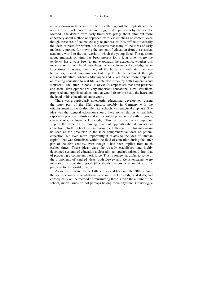already drawn in the criticism Plato levelled against the Sophists and the remedies, with reference to method, suggested in particular by the Socratic Method. The debate from early times was partly about aims but more concretely about method or approach, with less emphasis on content, even though these are, of course, closely related issues. It is difficult to classify the ideas or pleas for reform, but it seems that many of the ideas of early modernity pressed for moving the content of education from the classical academic world to the real world in which the young lived. The question about emphasis or aims has been present for a long time, where the tendency has always been to move towards the academic, whether this meant classical or liberal knowledge or encyclopaedic knowledge as in later times. Erasmus, like many of the humanists and later the neohumanists, placed emphasis on fostering the human element through classical literature, whereas Montaigne and Vives placed more emphasis on relating education to real life, a note also struck by both Comenius and Rousseau. The latter, in book IV of *Emile*, emphasises that both personal and social development are very important educational aims. Pestalozzi proposed and organised education that would foster the head, the heart and the hand in his educational endeavours.

There was a particularly noteworthy educational development during the latter part of the 18th century, notably in Germany with the establishment of the Realschulen, i.e. schools with practical emphasis. The idea was that general education should have some relation to real life, especially practical industry and not be solely preoccupied with religious, classical or encyclopaedic knowledge. This can be seen as an important step in the direction of moving much of apprentice-based, vocational education into the school system during the 19th century. This may again be seen as the precursor to the later comprehensive ideal of general education, but even more importantly it relates to the idea of 'human capital' that was formalised within the field of education during the latter part of the 20th century, even though it had been implicit from much earlier times. These ideas gave the already established and highly developed systems of education a clear aim, an updated raison d'être: that of producing a competent work force. This is somewhat unfair to some of the proponents of kindred ideas; both Dewey and Kerschensteiner were interested in educating good (if critical) citizens who might also be prepared for the world of work.

As we move nearer to the 19th century and later into the 20th century, the focus becomes somewhat narrower, more on knowledge and skills, and consequently on the method of transmitting these. Given the culture of the school, moral issues do not perhaps belong there anymore. Grundtvig, a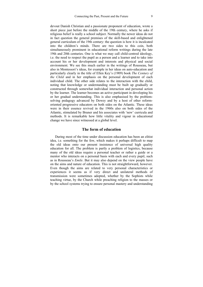devout Danish Christian and a passionate proponent of education, wrote a short piece just before the middle of the 19th century, where he asks if religious belief is really a school subject. Normally the newer ideas do not in fact question the general premises of the skill-based and enlightened general curriculum of the 19th century: the question is how it is inculcated into the children's minds. There are two sides to this coin, both simultaneously prominent in educational reform writings during the late 19th and 20th centuries. One is what we may call child-centred ideology, i.e. the need to respect the pupil as a person and a learner and to take into account his or her development and interests and physical and social environment. We see this much earlier in the writings of Rousseau, but also in Montessori's ideas, for example in her ideas on auto-education and particularly clearly in the title of Ellen Key's (1909) book *The Century of the Child* and in her emphasis on the personal development of each individual child. The other side relates to the interaction with the child, noting that knowledge or understanding must be built up gradually or constructed through somewhat individual interaction and personal action by the learner. The learner becomes an active participant in developing his or her gradual understanding. This is also emphasised by the problemsolving pedagogy advanced by Dewey and by a host of other reformoriented progressive educators on both sides on the Atlantic. These ideas were in their essence revived in the 1960s also on both sides of the Atlantic, stimulated by Bruner and his associates with 'new' curricula and methods. It is remarkable how little vitality and vigour in educational change we have since witnessed at a global level.

#### **The form of education**

During most of the time under discussion education has been an elitist idea, i.e. something for the few, which makes it perhaps difficult to map the old ideas onto our present insistence of universal high quality education for all. The problem is partly a problem of logistics, because many of the old ideas require a personal teacher or rather a guide or a mentor who interacts on a personal basis with each and every pupil, such as in Rousseau's *Emile*. But it may also depend on the view people have on the aims and nature of education. This is not straightforward, however. Even though the aims are related to very personal characteristics or experiences it seems as if very direct and unilateral methods of transmission were sometimes adopted, whether by the Sophists while teaching virtue, by the Church while preaching religion to the masses or by the school systems trying to ensure personal mastery and understanding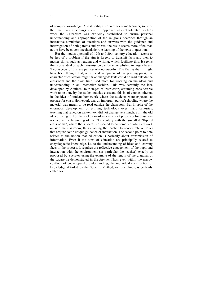#### 10 Chapter One

of complex knowledge. And it perhaps worked, for some learners, some of the time. Even in settings where this approach was not tolerated, such as when the Catechism was explicitly established to ensure personal understanding and appropriation of the religious doctrines through an interactive simulation of questions and answers with the guidance and interrogation of both parents and priests, the result seems more often than not to have been very mechanistic rote learning of the texts in question.

But the modus operandi of 19th and 20th century education seems to be less of a problem if the aim is largely to transmit facts and then to master skills, such as reading and writing, which facilitate this. It seems that a great deal of such transmission can be accomplished in large classes. Two aspects of this are particularly noteworthy. The first is that it might have been thought that, with the development of the printing press, the character of education might have changed: texts could be read outside the classroom and the class time used more for working on the ideas and understanding in an interactive fashion. This was certainly the idea developed by Aquinas' four stages of instruction, assuming considerable work to be done by the student outside class and this is, of course, inherent in the idea of student homework where the students were expected to prepare for class. Homework was an important part of schooling where the material was meant to be read outside the classroom. But in spite of the enormous development of printing technology over many centuries, teaching that relied on written text did not change very much. Still, the old idea of using text or the spoken word as a means of preparing for class was revived at the beginning of the 21st century with the so-called "flipped classrooms", where the student is expected to do some well-defined work outside the classroom, thus enabling the teacher to concentrate on tasks that require some unique guidance or interaction. The second point to note relates to the notion that education is basically about transmission of information. Even if the aims of education are principally related to encyclopaedic knowledge, i.e. to the understanding of ideas and learning facts in the process, it requires the reflective engagement of the pupil and interaction with the environment (in particular the teacher) exactly as proposed by Socrates using the example of the length of the diagonal of the square he demonstrated in the *Menon*. Thus, even within the narrow confines of encyclopaedic understanding, the individual construction of knowledge afforded by the Socratic Method, or its siblings, is certainly called for.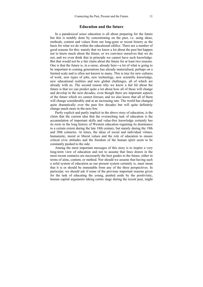#### **Education and the future**

In a paradoxical sense education is all about preparing for the future but this is notably done by concentrating on the past, i.e. using ideas, methods, content and values from our long-gone or recent history as the basis for what we do within the educational edifice. There are a number of good reasons for this: mainly that we know a lot about the past but happen not to know much about the future, or we convince ourselves that we do not, and we even think that in principle we cannot have such knowledge. But that would not be a fair claim about the future for at least two reasons. One is that the future is, in a sense, already here—a lot of what is going to be important to coming generations has already materialised, perhaps on a limited scale and is often not known to many. This is true for new cultures of work, new types of jobs, new technology, new scientific knowledge, new educational realities and new global challenges, all of which are already with us. The second reason why we know a fair bit about the future is that we can predict quite a lot about how all of these will change and develop in the next decades, even though there are important aspects of the future which we cannot foresee; and we also know that all of them will change considerably and at an increasing rate. The world has changed quite dramatically over the past few decades but will quite definitely change much more in the next few.

Partly explicit and partly implicit in the above story of education, is the claim that the current idea that the overarching task of education is the accumulation of important skills and value-free knowledge certainly has its roots in the long history of Western education regaining its dominance to a certain extent during the late 18th century, but mainly during the 19th and 20th centuries. At times, the ideas of social and individual virtues, humanistic, moral or liberal values and the role of education to ensure critical civic attitudes and the freedom of the human spirit seem to be constantly pushed to the side.

Among the most important messages of this story is to inspire a very long-term view of education and not to assume that lines drawn in the most recent centuries are necessarily the best guides to the future, either in terms of aims, content, or method. Nor should we assume that having such a solid system of education as our present system certainly is, must mean that it is or should be immutable from any of the three perspectives. In particular, we should ask if some of the previous important reasons given for the task of educating the young, pushed aside by the positivistic, human capital arguments taking centre stage during the recent past, might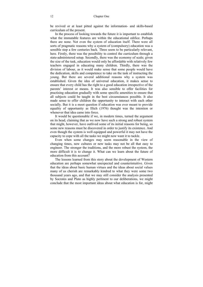be revived or at least pitted against the information- and skills-based curriculum of the present.

In the process of looking towards the future it is important to establish what the immutable features are within the educational edifice. Perhaps there are none. Not even the system of education itself. There were all sorts of pragmatic reasons why a system of (compulsory) education was a sensible step a few centuries back. Three seem to be particularly relevant, here. Firstly, there was the possibility to control the curriculum through a state-administered setup. Secondly, there was the economy of scale; given the size of the task, education would only be affordable with relatively few teachers engaged in educating many children. Thirdly, there was the division of labour, as it would make sense that some people would have the dedication, skills and competence to take on the task of instructing the young. But there are several additional reasons why a system was established. Given the idea of universal education, it makes sense to ensure that every child has the right to a good education irrespective of the parents' interest or means. It was also sensible to offer facilities for practising education gradually with some specific amenities to ensure that all subjects could be taught in the best circumstances possible. It also made sense to offer children the opportunity to interact with each other socially. But it is a moot question if education was ever meant to provide equality of opportunity as Illich (1976) thought was the intention or whenever that idea came into force.

It would be questionable if we, in modern times, turned the argument on its head, claiming that as we now have such a strong and robust system that might, however, have outlived some of its initial reasons for being, so some new reasons must be discovered in order to justify its existence. And even though the system is well equipped and powerful it may not have the capacity to cope with all the tasks we might now want it to tackle.

Even when some changes may seem reasonable in the view of changing times, new cultures or new tasks may not be all that easy to engineer. The stronger the traditions, and the more robust the system, the more difficult it is to change it. What can we learn about the future of education from this account?

The lessons learned from this story about the development of Western education are perhaps somewhat unexpected and counterintuitive. Given that the ideas about basic human virtues and the ideas about social values many of us cherish are remarkably kindred to what they were some two thousand years ago, and that we may still consider the analysis presented by Socrates and Plato as highly pertinent to our deliberations, we might conclude that the most important ideas about what education is for, might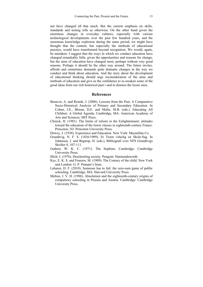not have changed all that much. But the current emphasis on skills, standards and testing tells us otherwise. On the other hand given the enormous changes in everyday cultures, especially with various technological developments over the past few hundred years, and the enormous knowledge explosion during the same period, we might have thought that the content, but especially the methods of educational practice, would have transformed beyond recognition. We would, again, be mistaken. I suggest that the ways in which we conduct education have changed remarkably little, given the opportunities and reasons for change, but the aims of education have changed most, perhaps without very good reasons. Perhaps it should be the other way around. The future invites, affords and sometimes demands quite dramatic changes in the way we conduct and think about education. And the story about the development of educational thinking should urge reconsideration of the aims and methods of education and give us the confidence to re-awaken some of the good ideas from our rich historical past—and to dismiss the lesser ones.

#### **References**

- Benavot, A. and Resnik, J. (2006). Lessons from the Past: A Comparative Socio-Historical Analysis of Primary and Secondary Education. In Cohen, J.E., Bloom, D.E. and Malin, M.B. (eds.). Educating All Children: A Global Agenda. Cambridge, MA: American Academy of Arts and Sciences: MIT Press.
- Chisick, H. (1981). The limits of reform in the Enlightenment: attitudes toward the education of the lower classes in eighteenth-century France. Princeton, NJ: Princeton University Press.
- Dewey, J. (1938). Experience and Education. New York: Macmillan Co.
- Grundtvig, N. F. S. (1836/1909). Er Troen virkelig en Skole-Sag. In Johansen, J. and Begtrup, H. (eds.), Bibliografi over NFS Grundtvigs Skrifter 8, 107-111.
- Guthrie, W. K. C. (1971). The Sophists. Cambridge: Cambridge University Press.
- Illich, I. (1976). Deschooling society. Penguin: Harmondsworth.
- Key, E. K. S. and Franzos, M. (1909). The Century of the child. New York and London: G. P. Putnam's Sons.
- Labaree, D. F. (2010). Someone has to fail: the zero-sum game of public schooling. Cambridge, MA: Harvard University Press.
- Melton, J. V. H. (1988). Absolutism and the eighteenth-century origins of compulsory schooling in Prussia and Austria. Cambridge: Cambridge University Press.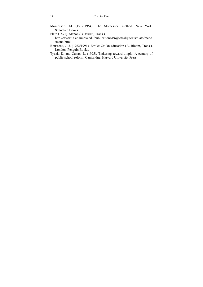- Montessori, M. (1912/1964). The Montessori method. New York: Schocken Books.
- Plato (1871). Menon (B. Jowett, Trans.), http://www.ilt.columbia.edu/publications/Projects/digitexts/plato/meno /meno.html
- Rousseau, J. J. (1762/1991). Emile: Or On education (A. Bloom, Trans.). London: Penguin Books.
- Tyack, D. and Cuban, L. (1995). Tinkering toward utopia. A century of public school reform. Cambridge: Harvard University Press.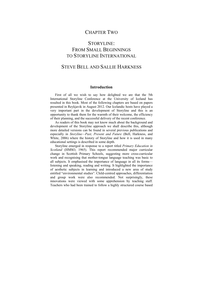### CHAPTER TWO

## STORYLINE: FROM SMALL BEGINNINGS TO STORYLINE INTERNATIONAL

### STEVE BELL AND SALLIE HARKNESS

#### **Introduction**

First of all we wish to say how delighted we are that the 5th International Storyline Conference at the University of Iceland has resulted in this book. Most of the following chapters are based on papers presented in Reykjavik in August 2012. Our Icelandic hosts have played a very important part in the development of Storyline and this is an opportunity to thank them for the warmth of their welcome, the efficiency of their planning, and the successful delivery of the recent conference.

As readers of this book may not know much about the background and development of the Storyline approach we shall describe this, although more detailed versions can be found in several previous publications and especially in *Storyline—Past, Present and Future* (Bell, Harkness, and White, 2006) where the history of Storyline and how it is used in many educational settings is described in some depth.

Storyline emerged in response to a report titled *Primary Education in Scotland* (HMSO, 1965). This report recommended major curricular change in Scottish Primary Schools, suggesting more cross-curricular work and recognising that mother-tongue language teaching was basic to all subjects. It emphasised the importance of language in all its forms listening and speaking, reading and writing. It highlighted the importance of aesthetic subjects in learning and introduced a new area of study entitled "environmental studies". Child-centred approaches, differentiation and group work were also recommended. Not surprisingly, these innovations were viewed with some apprehension by teaching staff. Teachers who had been trained to follow a highly structured course based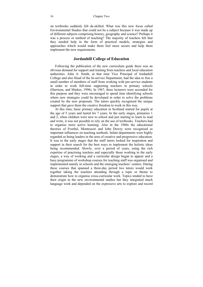on textbooks suddenly felt de-skilled. What was this new focus called Environmental Studies that could not be a subject because it was made up of different subjects comprising history, geography and science? Perhaps it was a process or method of teaching? The majority of teachers felt that they needed help in the form of practical models, strategies and approaches which would make them feel more secure and help them implement the new requirements.

#### **Jordanhill College of Education**

Following the publication of the new curriculum guide there was an obvious demand for support and training from teachers and local education authorities. John A. Smith, at that time Vice Principal of Jordanhill College and also Head of the In-service Department, had the idea to free a small number of members of staff from working with pre-service students in order to work full-time supporting teachers in primary schools (Harrison, and Marker, 1996). In 1967, three lecturers were seconded for this purpose and they were encouraged to spend time identifying schools where new strategies could be developed in order to solve the problems created by the new proposals. The tutors quickly recognised the unique support that gave them the creative freedom to work in this way.

At this time, basic primary education in Scotland started for pupils at the age of 5 years and lasted for 7 years. In the early stages, primaries 1 and 2, when children were new to school and just starting to learn to read and write, it was not possible to rely on the use of textbooks. Teachers had to organise more active learning. Also in the 1960s the educational theories of Froebel, Montessori and John Dewey were recognised as important influences on teaching methods. Infant departments were highly regarded as being leaders in the area of creative and progressive education. It was to the early stages that the staff tutors looked for inspiration and support in their search for the best ways to implement the holistic ideas being recommended. Slowly, over a period of years, using the rich expertise of practising teachers and especially those working in the early stages, a way of working and a curricular design began to appear and a busy programme of workshop courses for teaching staff was organised and implemented mainly in schools and the emerging teachers' centres. During these courses that spanned a three-day period two tutors would work together taking the teachers attending through a topic or theme to demonstrate how to organise cross-curricular work. Topics tended to have their origin in the new environmental studies but they integrated much language work and depended on the expressive arts to explore and record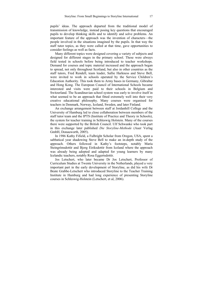pupils' ideas. The approach departed from the traditional model of transmission of knowledge, instead posing key questions that encouraged pupils to develop thinking skills and to identify and solve problems. An important feature of the approach was the invention of characters—the people involved in the situations imagined by the pupils. In that way the staff tutor topics, as they were called at that time, gave opportunities to consider feelings as well as facts.

Many different topics were designed covering a variety of subjects and designed for different stages in the primary school. These were always field tested in schools before being introduced to teacher workshops. Demand for courses and topic material increased and the approach began to spread, not only throughout Scotland, but also in other countries as the staff tutors, Fred Rendell, team leader, Sallie Harkness and Steve Bell, were invited to work in schools operated by the Service Children's Education Authority. This took them to Army bases in Germany, Gibraltar and Hong Kong. The European Council of International Schools became interested and visits were paid to their schools in Belgium and Switzerland. The Scandinavian school system was early to involve itself in what seemed to be an approach that fitted extremely well into their very creative educational philosophy. Many courses were organised for teachers in Denmark, Norway, Iceland, Sweden, and later Finland.

An exchange arrangement between staff at Jordanhill College and the University of Hamburg led to close collaboration between members of the staff tutor team and the IPTS (Institute of Practice and Theory in Schools), the system for teacher training in Schleswig Holstein. Many of the courses there were supported by the British Council. Ulf Schwanke who took part in this exchange later published *Die Storyline-Methode* (Auer Verlag GmbH, Donauworth, 2005).

In 1986 Kathy Fifield, a Fulbright Scholar from Oregon, USA, spent a sabbatical year shadowing Steve Bell to make an in-depth study of the approach. Others followed in Kathy's footsteps, notably María Steingrímsdottír and Bjorg Eiriksdottír from Iceland where the approach was already being adopted and adapted for young learners by many Icelandic teachers, notably Rosa Eggertsdottír.

Jos Letschert, who later became Dr Jos Letschert, Professor of Curriculum Studies at Twente University in the Netherlands, played a very important part in the early development of Storyline, as did his wife Dr Beate Grabbe-Letschert who introduced Storyline to the Teacher Training Institute in Hamburg and had long experience of presenting Storyline courses in Schleswig-Holstein (Letschert, et al, 2006).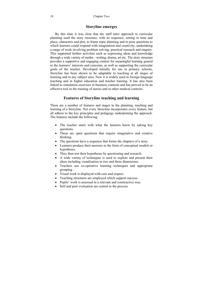#### **Storyline emerges**

By this time it was clear that the staff tutor approach to curricular planning used the story structure, with its sequence, setting in time and place, characters and plot, to frame topic planning and to pose questions to which learners could respond with imagination and creativity; undertaking a range of work involving problem solving, practical research and enquiry. This supported further activities such as expressing ideas and knowledge through a wide variety of media—writing, drama, art etc. The story structure provides a supportive and engaging context for meaningful learning geared to the learners' interests and concerns, as well as supporting the curricular goals of the teacher. Developed initially for use in primary schools, Storyline has been shown to be adaptable to teaching at all stages of learning and in any subject area. Now it is widely used in foreign language teaching and in higher education and teacher training. It has also been linked to simulation exercises in business contexts and has proved to be an effective tool in the training of nurses and in other medical contexts.

#### **Features of Storyline teaching and learning**

There are a number of features and stages in the planning, teaching and learning of a Storyline. Not every Storyline incorporates every feature, but all adhere to the key principles and pedagogy underpinning the approach. The features include the following:

- The teacher starts with what the learners know by asking key questions.
- These are open questions that require imaginative and creative thinking.
- The questions have a sequence that forms the chapters of a story.
- Learners produce their answers in the form of conceptual models or hypotheses.
- They then test their hypotheses by questioning and research.
- A wide variety of techniques is used to explore and present their ideas including visualisation in two and three dimensions.
- Teachers use co-operative learning techniques and appropriate grouping.
- Visual work is displayed with care and respect.
- Teaching structures are employed which support success.
- Pupils' work is assessed in a relevant and constructive way.
- Self and peer evaluation are central to the process.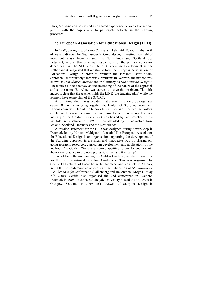Thus, Storyline can be viewed as a shared experience between teacher and pupils, with the pupils able to participate actively in the learning processes.

#### **The European Association for Educational Design (EED)**

In 1988, during a Workshop Course at Thelamörk School in the north of Iceland directed by Gudmundur Kristmundsson, a meeting was held of topic enthusiasts from Iceland, the Netherlands and Scotland. Jos Letschert, who at that time was responsible for the primary education department in The SLO (Institute of Curriculum Development in the Netherlands), suggested that we should form the European Association for Educational Design in order to promote the Jordanhill staff tutors' approach. Unfortunately there was a problem! In Denmark the method was known as *Den Skotske Metode* and in Germany as *Die Methode Glasgow.* These titles did not convey an understanding of the nature of the approach and so the name 'Storyline' was agreed to solve that problem. This title makes it clear that the teacher holds the LINE (the teaching plan) while the learners have ownership of the STORY.

At this time also it was decided that a seminar should be organised every 18 months to bring together the leaders of Storyline from their various countries. One of the famous tours in Iceland is named the Golden Circle and this was the name that we chose for our new group. The first meeting of the Golden Circle / EED was hosted by Jos Letschert in his Institute in Enschede in 1989. It was attended by 12 educators from Iceland, Scotland, Denmark and the Netherlands.

A mission statement for the EED was designed during a workshop in Denmark led by Kirsten Meldgaard. It read: "The European Association for Educational Design is an organisation supporting the development of the Storyline approach in a critical and innovative way by sharing ongoing research, resources, curriculum development and applications of the method. The Golden Circle is a non-competitive forum for enquiry into theory and practice to promote professionalism and friendship".

To celebrate the millennium, the Golden Circle agreed that it was time for the 1st International Storyline Conference. This was organised by Cecilie Falkenberg, of Laererhojskole Danmark, and was held in Aalborg in 2000. The conference coincided with the publication of *Storylinebogen —en handbog for undervisere* (Falkenberg and Hakonsson, Kroghs Forlag A/S 2000). Cecilie also organised the 2nd conference in Elsinore, Denmark in 2003. In 2006, Strathclyde University hosted the 3rd event in Glasgow, Scotland. In 2009, Jeff Creswell of Storyline Design in